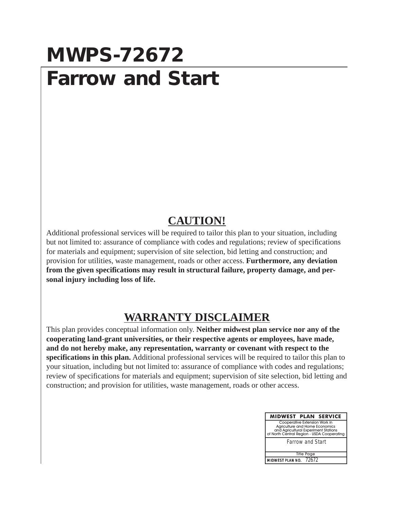### **MWPS-72672 Farrow and Start**

#### **CAUTION!**

Additional professional services will be required to tailor this plan to your situation, including but not limited to: assurance of compliance with codes and regulations; review of specifications for materials and equipment; supervision of site selection, bid letting and construction; and provision for utilities, waste management, roads or other access. **Furthermore, any deviation from the given specifications may result in structural failure, property damage, and personal injury including loss of life.**

### **WARRANTY DISCLAIMER**

This plan provides conceptual information only. **Neither midwest plan service nor any of the cooperating land-grant universities, or their respective agents or employees, have made, and do not hereby make, any representation, warranty or covenant with respect to the specifications in this plan.** Additional professional services will be required to tailor this plan to your situation, including but not limited to: assurance of compliance with codes and regulations; review of specifications for materials and equipment; supervision of site selection, bid letting and construction; and provision for utilities, waste management, roads or other access.

| <b>MIDWEST PLAN SERVICE</b>                                                                                                                           |  |
|-------------------------------------------------------------------------------------------------------------------------------------------------------|--|
| Cooperative Extension Work in<br>Agriculture and Home Economics<br>and Agricultural Experiment Stations<br>of North Central Region - USDA Cooperating |  |
| <b>Farrow and Start</b>                                                                                                                               |  |
|                                                                                                                                                       |  |
| <b>Title Page</b>                                                                                                                                     |  |
| MIDWEST PLAN NO. 72672                                                                                                                                |  |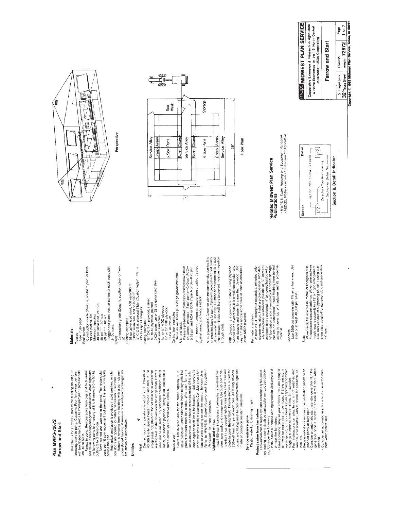|   | ۵ |
|---|---|
|   | ń |
|   |   |
| ă | 2 |
|   |   |
|   |   |
|   |   |
|   |   |

 $\bar{z}$ 

j

This plan is for a 32 x36' stud-frame building housing 12<br>farrowing sows in pens. Capacity: Four farrowings per year<br>with two 12-sow herds, yields 48 litters per year, if pigs are held until 40 to 50 lb.

ura wu on Dens, Remove sows from pigs at 4 to 6 weeks<br>and enturing beesting and general at 8 beestes the first of the present of the property and general and general at 5 beestes (40 to 50 in).<br>Butting 2 to 3 kitters part,

Utilities

### Heat:

 $\check{ }$ 

Desired coom temperature is about 70 F. Provide a<br>co.000 exacts 10 gabe here is about 70 F. Provide a<br>co.000 exacts 10 gabe here in worker or or heat in the<br>electricheat. Install hovers over the creep areas. Howers<br>meet no

### Ventilation:

Seiect AMCA-rated tans for the stated capacity at is<br>static pressure. Obtain lans with inside saidly gnitis that<br>separate circuit. Use at local switch: it is a more stated and consider a rate of the area count. Use at loca Handbook, for more information.

### Lighting and wiring:

pens, sow wash, and storage area. Use dust- and mois-<br>ture-tight incandescent light fixtures with a heat resistant globe to cover the lightbulb. Provide electrical outlets for<br>250-watt heat lamps at each pen. All wring devices,<br>boxes, and fittings must be dust- and moisture-tight and Install 150-watt incandescent celling lights centered over made of corrosion resistant materials.

### Plastic, watertight, dust-tight type. Service entrance panel:

## Protect swine from fan failure

Fens and electrical supply systems cocastonally tall, possi-<br>remaind electrical supply systems cocastonally tall, possi-<br>related by the bolowing: we will add anomatic with the state of the state of the state of the state o

propped partly or fully open.<br>• Some ador once a microscopic state is with work when<br>• Generation once a microscopic state is will work when<br>• Research and adornatic telephone to dial selected running<br>bers when power fails

MDO pivwood is C-C exterior with medium density overlay. It is<br>an excellent base for paint, Paint with two coals of good quality<br>oil base en amel. Use vinyl "H" strips and sliicone caulik to seal<br>through joints.<br>through jo if the second standard steel, to halls 100 if<br>  $200\%$  standard steel, 100 halls 100 if<br>  $200\%$  standard steel, 100 halls 100 if<br>  $200\%$  standard steel, 100 halls 100 if<br>  $200\%$  standard shingles<br>  $30\%$  C CE x By wood All least 2"x24" waterproof expanded, extruded poly-<br>styl therefore a minorized particle of the state of the state of the state of the state of the state of the state of the state of the state of the state of the state of FRP plywood is a composite material using plywood<br>overlad with alayer of plastic, it is molisture resistant and<br>more "tradible and easier to clean than plywood. Use<br>under MDO plywood. Stagger end joints. Fasten purins at each truss with<br>2-10d nails.<br>Otostruction grade (Doug fir, southern pine, or hem Roof purlins<br>Construction grade (Doug fir, southern pine, or hem<br>fri) 2x4 purlins, flat (P. T. means lumber pressure preservative treated<br>against insect and lungus attack.) Maximum spacing:<br>40 psf snow load, 24" o.c.<br>45 psf " ", 20" o.c.<br>60 psf " ", 15" o.c. Perimeter insulation Trusses<br>See Truss page. **Materials** 

Use 3500 psi concrete with 7% air entrainment. Use<br>steel of at least 40,000 psi yield. Concrete

Sülti<sub>oren</sub> wire, flat wire mesh, metal, or (herofotss rein-hoode) states states and the mesh metal, or (herofotss rein-hoode) states states are produced by Woven wire and wire<br>hooded plastic states are produced by Woven w







# Related Midwest Plan Service<br>Publications

• MWPS-8, Swine Housing and Equipment Handbook.<br>• AED-22, Til-Up Concrete Construction for Agriculture.



Farrow and Start

5 Pages plus Plan No. Pages plus Page Page  $32^{\degree}$  Truss Sheet mwps:  $72672$  1 of  $7$  Copyright © 1983 Midnese Plan Service, Annel, 14.8001

Universities-USDA Cooperating

**INVEST PLAN SERVICE** Cooperative Extension & Research in Agriculture & Home Economics in the 12 North Central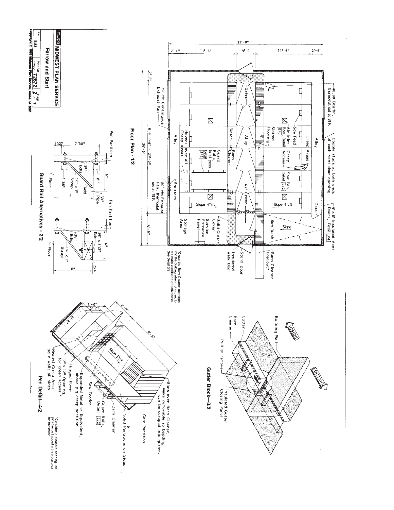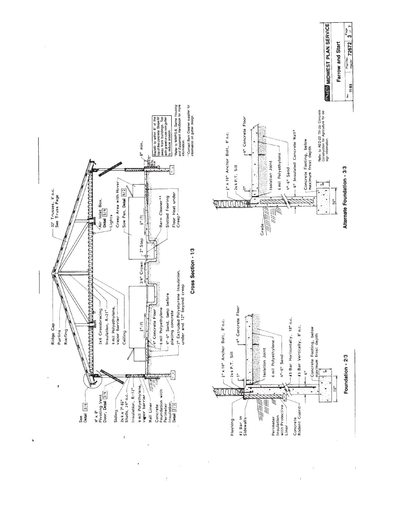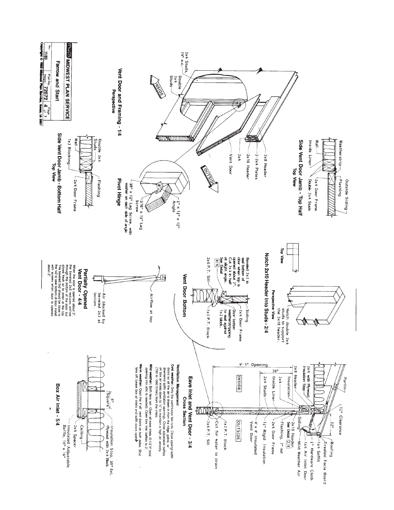